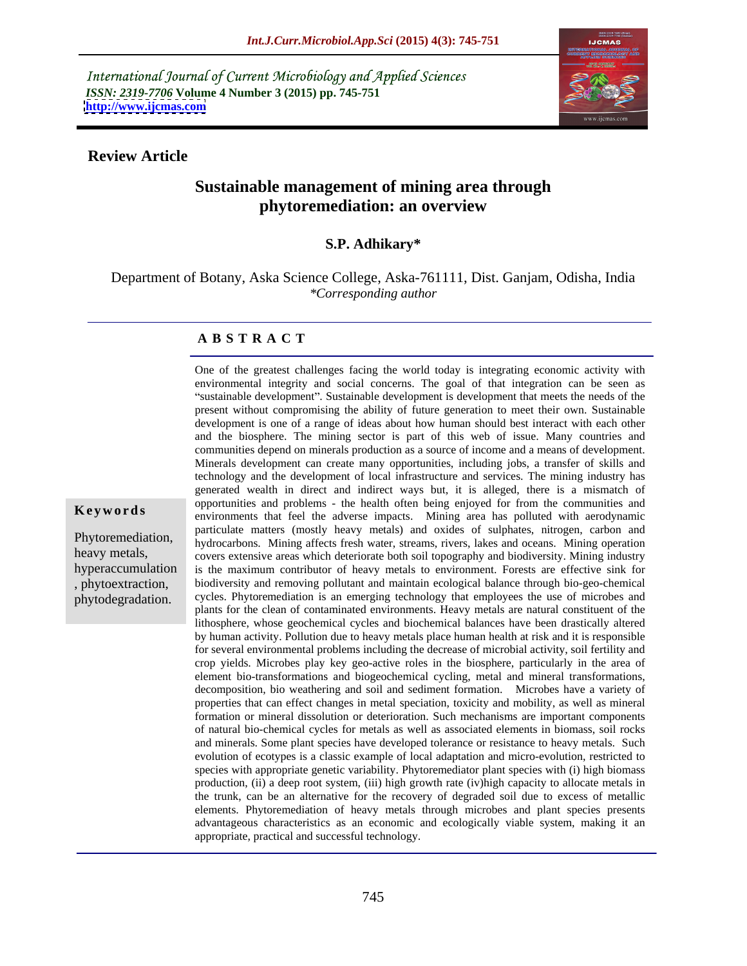International Journal of Current Microbiology and Applied Sciences *ISSN: 2319-7706* **Volume 4 Number 3 (2015) pp. 745-751 <http://www.ijcmas.com>**



### **Review Article**

phytodegradation.

# **Sustainable management of mining area through phytoremediation: an overview**

### **S.P. Adhikary\***

Department of Botany, Aska Science College, Aska-761111, Dist. Ganjam, Odisha, India *\*Corresponding author*

### **A B S T R A C T**

One of the greatest challenges facing the world today is integrating economic activity with environmental integrity and social concerns. The goal of that integration can be seen as "sustainable development". Sustainable development is development that meets the needs of the present without compromising the ability of future generation to meet their own. Sustainable development is one of a range of ideas about how human should best interact with each other and the biosphere. The mining sector is part of this web of issue. Many countries and communities depend on minerals production as a source of income and a means of development. Minerals development can create many opportunities, including jobs, a transfer of skills and technology and the development of local infrastructure and services. The mining industry has generated wealth in direct and indirect ways but, it is alleged, there is a mismatch of opportunities and problems - the health often being enjoyed for from thecommunities and environments that feel the adverse impacts. Mining area has polluted with aerodynamic **Ke ywo rds** particulate matters (mostly heavy metals) and oxides of sulphates, nitrogen, carbon and Phytoremediation, hydrocarbons. Mining affects fresh water, streams, rivers, lakes and oceans. Mining operation heavy metals, covers extensive areas which deteriorate both soil topography and biodiversity. Mining industry hyperaccumulation is the maximum contributor of heavy metals to environment. Forests are effective sink for cycles. Phytoremediation is an emerging technology that employees the use of microbes and plants for the clean of contaminated environments. Heavy metals are natural constituent of the lithosphere, whose geochemical cycles and biochemical balances have been drastically altered by human activity. Pollution due to heavy metals place human health at risk and it is responsible for several environmental problems including the decrease of microbial activity, soil fertility and crop yields. Microbes play key geo-active roles in the biosphere, particularly in the area of element bio-transformations and biogeochemical cycling, metal and mineral transformations, decomposition, bio weathering and soil and sediment formation. Microbes have a variety of properties that can effect changes in metal speciation, toxicity and mobility, as well as mineral formation or mineral dissolution or deterioration. Such mechanisms are important components of natural bio-chemical cycles for metals as well as associated elements in biomass, soil rocks and minerals. Some plant species have developed tolerance or resistance to heavy metals. Such evolution of ecotypes is a classic example of local adaptation and micro-evolution, restricted to species with appropriate genetic variability. Phytoremediator plant species with (i) high biomass production, (ii) a deep root system, (iii) high growth rate (iv)high capacity to allocate metals in the trunk, can be an alternative for the recovery of degraded soil due to excess of metallic elements. Phytoremediation of heavy metals through microbes and plant species presents advantageous characteristics as an economic and ecologically viable system, making it an appropriate, practical and successful technology. , phytoextraction, biodiversity and removing pollutant and maintain ecological balance through bio-geo-chemical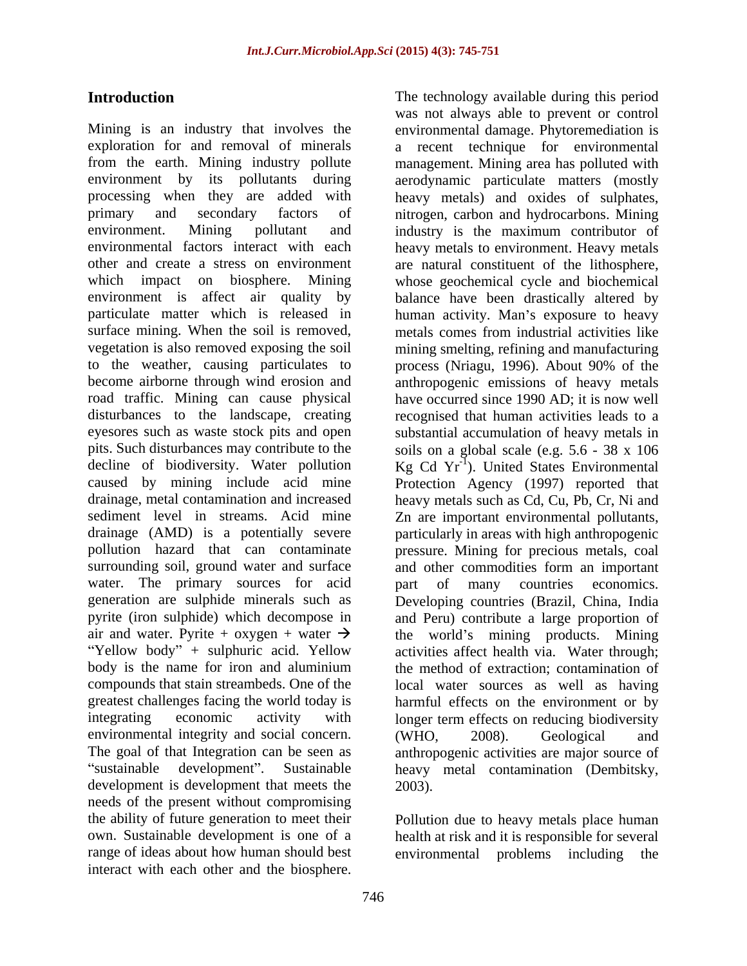exploration for and removal of minerals a recent technique for environmental from the earth. Mining industry pollute management. Mining area has polluted with environment by its pollutants during aerodynamic particulate matters (mostly processing when they are added with heavy metals) and oxides of sulphates, primary and secondary factors of nitrogen, carbon and hydrocarbons. Mining environment. Mining pollutant and industry is the maximum contributor of environmental factors interact with each heavy metals to environment. Heavy metals other and create a stress on environment are natural constituent of the lithosphere, which impact on biosphere. Mining whose geochemical cycle and biochemical environment is affect air quality by balance have been drastically altered by particulate matter which is released in human activity. Man's exposure to heavy surface mining. When the soil is removed, metals comes from industrial activities like vegetation is also removed exposing the soil to the weather, causing particulates to process (Nriagu, 1996). About 90% of the become airborne through wind erosion and anthropogenic emissions of heavy metals road traffic. Mining can cause physical have occurred since 1990 AD; it is now well disturbances to the landscape, creating recognised that human activities leads to a eyesores such as waste stock pits and open substantial accumulation of heavy metals in pits. Such disturbances may contribute to the soils on a global scale (e.g. 5.6 - 38 x 106 decline of biodiversity. Water pollution  $Kg$  Cd  $Yr^{-1}$ ). United States Environmental caused by mining include acid mine Protection Agency (1997) reported that drainage, metal contamination and increased heavy metals such as Cd, Cu, Pb, Cr, Ni and sediment level in streams. Acid mine Zn are important environmental pollutants, drainage (AMD) is a potentially severe particularly in areas with high anthropogenic pollution hazard that can contaminate pressure. Mining for precious metals, coal surrounding soil, ground water and surface and other commodities form an important water. The primary sources for acid part of many countries economics. generation are sulphide minerals such as Developing countries (Brazil, China, India pyrite (iron sulphide) which decompose in and Peru) contribute a large proportion of air and water. Pyrite + oxygen + water  $\rightarrow$  the world's mining products. Mining "Yellow body" + sulphuric acid. Yellow body is the name for iron and aluminium the method of extraction; contamination of compounds that stain streambeds. One of the greatest challenges facing the world today is harmful effects on the environment or by integrating economic activity with longer term effects on reducing biodiversity environmental integrity and social concern. (WHO, 2008). Geological and The goal of that Integration can be seen as anthropogenic activities are major source of development is development that meets the 2003). needs of the present without compromising the ability of future generation to meet their Pollution due to heavy metals place human own. Sustainable development is one of a health at risk and it is responsible for several range of ideas about how human should best environmental problems including the interact with each other and the biosphere.

**Introduction** The technology available during this period Mining is an industry that involves the environmental damage. Phytoremediation is sustainable development". Sustainable heavy metal contamination (Dembitsky, was not always able to prevent or control metals comes from industrial activities like mining smelting, refining and manufacturing process (Nriagu, 1996). About 90% of the part of many countries economics. activities affect health via. Water through; local water sources as well as having (WHO, 2008). Geological and 2003).

environmental problems including the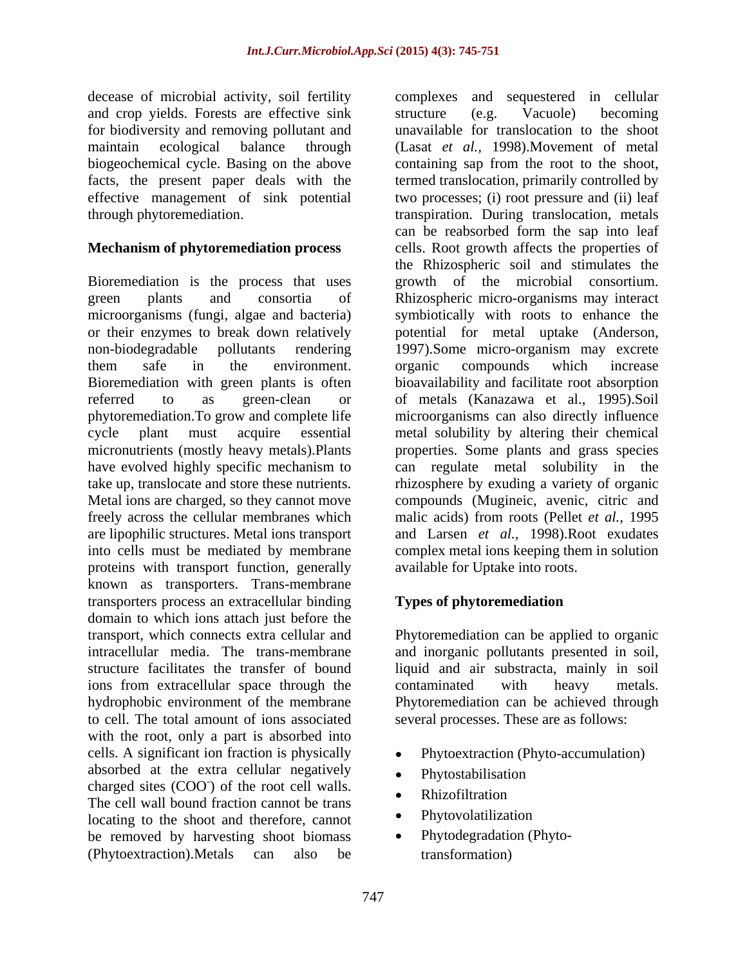decease of microbial activity, soil fertility and crop yields. Forests are effective sink structure (e.g. Vacuole) becoming for biodiversity and removing pollutant and

or their enzymes to break down relatively have evolved highly specific mechanism to proteins with transport function, generally known as transporters. Trans-membrane transporters process an extracellular binding domain to which ions attach just before the transport, which connects extra cellular and intracellular media. The trans-membrane and inorganic pollutants presented in soil, structure facilitates the transfer of bound liquid and air substracta, mainly in soil ions from extracellular space through the contaminated with heavy metals. hydrophobic environment of the membrane Phytoremediation can be achieved through to cell. The total amount of ions associated with the root, only a part is absorbed into cells. A significant ion fraction is physically absorbed at the extra cellular negatively • Phytostabilisation  $\frac{1}{2}$  charged sites (COO) of the root cell walls. ) of the root cell walls. The cell wall bound fraction cannot be trans<br>locating to the shoot and therefore, cannot locating to the shoot and therefore, cannot be removed by harvesting shoot biomass  $\bullet$ (Phytoextraction).Metals can also be

maintain ecological balance through (Lasat *et al.,* 1998).Movement of metal biogeochemical cycle. Basing on the above containing sap from the root to the shoot, facts, the present paper deals with the termed translocation, primarily controlled by effective management of sink potential two processes; (i) root pressure and (ii) leaf through phytoremediation. transpiration. During translocation, metals **Mechanism of phytoremediation process** cells. Root growth affects the properties of Bioremediation is the process that uses growth of the microbial consortium. green plants and consortia of Rhizospheric micro-organisms may interact microorganisms (fungi, algae and bacteria) symbiotically with roots to enhance the non-biodegradable pollutants rendering 1997).Some micro-organism may excrete them safe in the environment. organic compounds which increase Bioremediation with green plants is often bioavailability and facilitate root absorption referred to as green-clean or of metals (Kanazawa et al., 1995).Soil phytoremediation.To grow and complete life microorganisms can also directly influence cycle plant must acquire essential metal solubility by altering their chemical micronutrients (mostly heavy metals).Plants properties. Some plants and grass species take up, translocate and store these nutrients. rhizosphere by exuding a variety of organic Metal ions are charged, so they cannot move compounds (Mugineic, avenic, citric and freely across the cellular membranes which malic acids) from roots (Pellet *et al.,* 1995 are lipophilic structures. Metal ions transport and Larsen *et al.,* 1998).Root exudates into cells must be mediated by membrane complex metal ions keeping them in solution complexes and sequestered in cellular structure (e.g. Vacuole) becoming unavailable for translocation to the shoot can be reabsorbed form the sap into leaf the Rhizospheric soil and stimulates the potential for metal uptake (Anderson, organic compounds which increase can regulate metal solubility in the available for Uptake into roots.

### **Types of phytoremediation**

Phytoremediation can be applied to organic contaminated with heavy metals. several processes. These are as follows:

- Phytoextraction (Phyto-accumulation)
- Phytostabilisation
- Rhizofiltration and the state of the state of the state of the state of the state of the state of the state of
- Phytovolatilization
- Phytodegradation (Phytotransformation)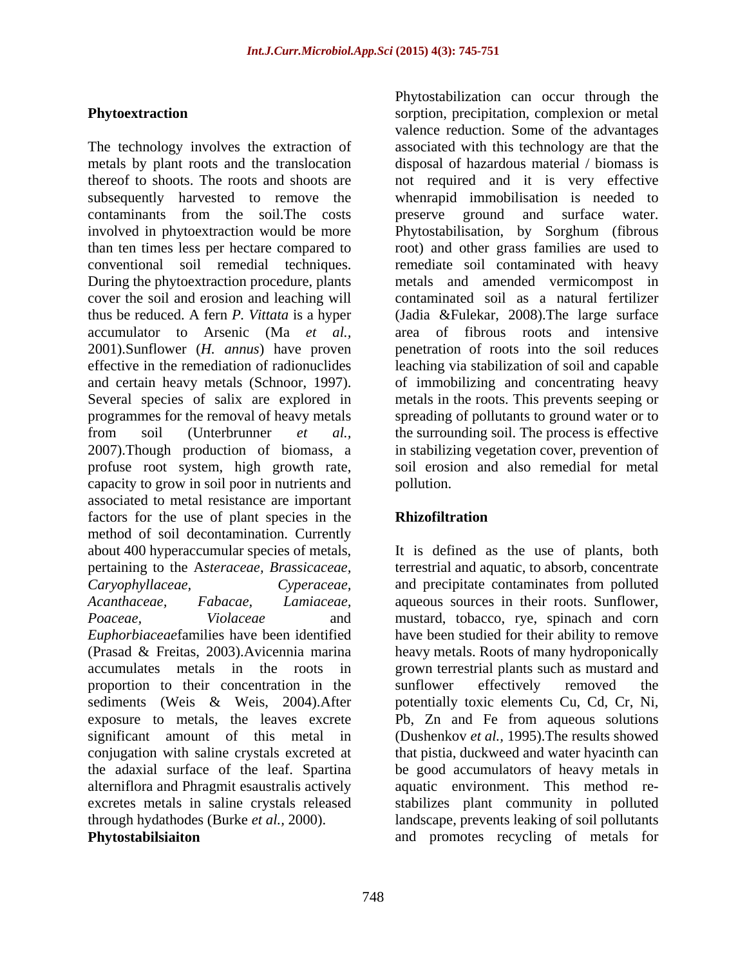The technology involves the extraction of associated with this technology are that the metals by plant roots and the translocation disposal of hazardous material / biomass is thereof to shoots. The roots and shoots are not required and it is very effective subsequently harvested to remove the whenrapid immobilisation is needed to contaminants from the soil.The costs involved in phytoextraction would be more Phytostabilisation, by Sorghum (fibrous than ten times less per hectare compared to root) and other grass families are used to conventional soil remedial techniques. remediate soil contaminated with heavy During the phytoextraction procedure, plants metals and amended vermicompost in cover the soil and erosion and leaching will contaminated soil as a natural fertilizer thus be reduced. A fern *P. Vittata* is a hyper (Jadia &Fulekar, 2008).The large surface accumulator to Arsenic (Ma *et al.,* 2001).Sunflower (*H. annus*) have proven penetration of roots into the soil reduces effective in the remediation of radionuclides leaching via stabilization of soil and capable and certain heavy metals (Schnoor, 1997). of immobilizing and concentrating heavy Several species of salix are explored in metals in the roots. This prevents seeping or programmes for the removal of heavy metals spreading of pollutants to ground water or to from soil (Unterbrunner *et al.,* the surrounding soil. The process is effective 2007).Though production of biomass, a in stabilizing vegetation cover, prevention of profuse root system, high growth rate, capacity to grow in soil poor in nutrients and associated to metal resistance are important factors for the use of plant species in the **Rhizofiltration** method of soil decontamination. Currently about 400 hyperaccumular species of metals, It is defined as the use of plants, both pertaining to the A*steraceae, Brassicaceae, Caryophyllaceae, Cyperaceae,* and precipitate contaminates from polluted *Acanthaceae, Fabacae, Lamiaceae,* aqueous sources in their roots. Sunflower, *Poaceae, Violaceae* and mustard, tobacco, rye, spinach and corn *Euphorbiaceae*families have been identified have been studied for their ability to remove (Prasad & Freitas, 2003).Avicennia marina heavy metals. Roots of many hydroponically accumulates metals in the roots in grown terrestrial plants such as mustard and proportion to their concentration in the sediments (Weis & Weis, 2004).After exposure to metals, the leaves excrete Pb, Zn and Fe from aqueous solutions significant amount of this metal in (Dushenkov *et al.,* 1995).The results showed conjugation with saline crystals excreted at that pistia, duckweed and water hyacinth can the adaxial surface of the leaf. Spartina be good accumulators of heavy metals in alterniflora and Phragmit esaustralis actively aquatic environment. This method re excretes metals in saline crystals released stabilizes plant community in polluted through hydathodes (Burke *et al.,* 2000). landscape, prevents leaking of soil pollutants

**Phytoextraction** and **sorption**, precipitation, complexion or metal Phytostabilization can occur through the valence reduction. Some of the advantages preserve ground and surface water. area of fibrous roots and intensive soil erosion and also remedial for metal pollution.

# **Rhizofiltration**

**Phytostabilsiaiton** and promotes recycling of metals forterrestrial and aquatic, to absorb, concentrate sunflower effectively removed the potentially toxic elements Cu, Cd, Cr, Ni,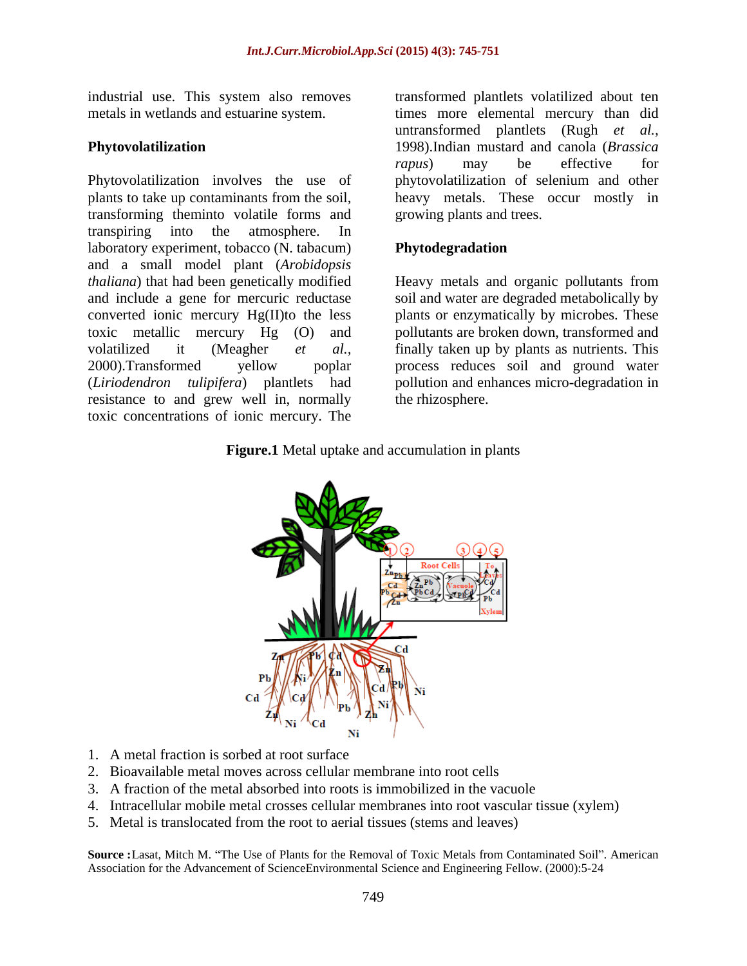industrial use. This system also removes

Phytovolatilization involves the use of phytovolatilization of selenium and other plants to take up contaminants from the soil, heavy metals. These occur mostly in transforming theminto volatile forms and transpiring into the atmosphere. In laboratory experiment, tobacco (N. tabacum) Phytodegradation and a small model plant (*Arobidopsis thaliana*) that had been genetically modified Heavy metals and organic pollutants from and include a gene for mercuric reductase soil and water are degraded metabolically by converted ionic mercury Hg(II)to the less toxic metallic mercury Hg (O) and pollutants are broken down, transformed and volatilized it (Meagher *et al.,* finally taken up by plants as nutrients. This 2000).Transformed yellow poplar process reduces soil and ground water (*Liriodendron tulipifera*) plantlets had pollution and enhances micro-degradation in resistance to and grew well in, normally toxic concentrations of ionic mercury. The

metals in wetlands and estuarine system. times more elemental mercury than did **Phytovolatilization** 1998).Indian mustard and canola (*Brassica*  transformed plantlets volatilized about ten untransformed plantlets (Rugh *et al., rapus*) may be effective for growing plants and trees.

## **Phytodegradation**

plants or enzymatically by microbes. These the rhizosphere.

### **Figure.1** Metal uptake and accumulation in plants



- 1. A metal fraction is sorbed at root surface
- 2. Bioavailable metal moves across cellular membrane into root cells
- 3. A fraction of the metal absorbed into roots is immobilized in the vacuole
- 4. Intracellular mobile metal crosses cellular membranes into root vascular tissue (xylem)
- 5. Metal is translocated from the root to aerial tissues (stems and leaves)

**Source :**Lasat, Mitch M. "The Use of Plants for the Removal of Toxic Metals from Contaminated Soil". American Association for the Advancement of ScienceEnvironmental Science and Engineering Fellow. (2000):5-24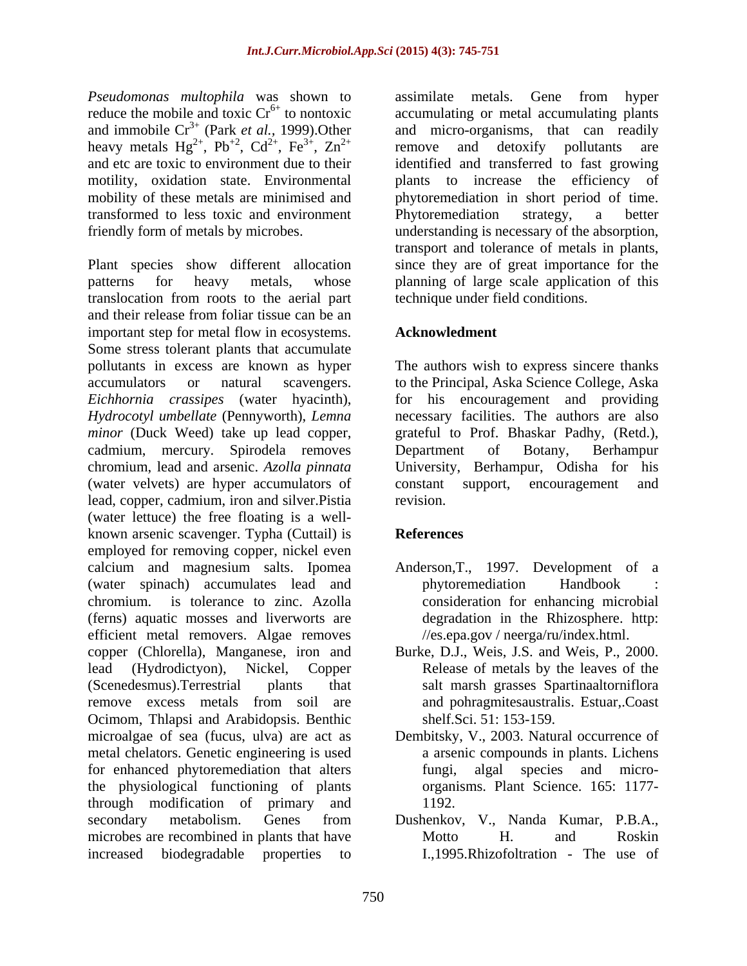*Pseudomonas multophila* was shown to assimilate metals. Gene from hyper reduce the mobile and toxic Cr<sup>6+</sup> to nontoxic accumulating or metal accumulating plants and immobile Cr3+ (Park *et al.,* 1999).Other transformed to less toxic and environment

Plant species show different allocation since they are of great importance for the patterns for heavy metals, whose planning of large scale application of this translocation from roots to the aerial part and their release from foliar tissue can be an important step for metal flow in ecosystems. Acknowledment Some stress tolerant plants that accumulate pollutants in excess are known as hyper The authors wish to express sincere thanks accumulators or natural scavengers. to the Principal, Aska Science College, Aska *Eichhornia crassipes* (water hyacinth), for his encouragement and providing *Hydrocotyl umbellate* (Pennyworth), *Lemna*  necessary facilities. The authors are also *minor* (Duck Weed) take up lead copper, grateful to Prof. Bhaskar Padhy, (Retd.), cadmium, mercury. Spirodela removes Department of Botany, Berhampur chromium, lead and arsenic. *Azolla pinnata* University, Berhampur, Odisha for his (water velvets) are hyper accumulators of lead, copper, cadmium, iron and silver.Pistia (water lettuce) the free floating is a well known arsenic scavenger. Typha (Cuttail) is **References** employed for removing copper, nickel even calcium and magnesium salts. Ipomea Anderson,T., 1997. Development of a (water spinach) accumulates lead and chromium. is tolerance to zinc. Azolla (ferns) aquatic mosses and liverworts are efficient metal removers. Algae removes copper (Chlorella), Manganese, iron and Burke, D.J., Weis, J.S. and Weis, P., 2000. lead (Hydrodictyon), Nickel, Copper Release of metals by the leaves of the (Scenedesmus).Terrestrial plants that salt marsh grasses Spartinaaltorniflora remove excess metals from soil are and pohragmites australis. Estuar, Coast Ocimom, Thlapsi and Arabidopsis. Benthic microalgae of sea (fucus, ulva) are act as Dembitsky, V., 2003. Natural occurrence of metal chelators. Genetic engineering is used for enhanced phytoremediation that alters the physiological functioning of plants through modification of primary and secondary metabolism. Genes from Dushenkov, V., Nanda Kumar, P.B.A., microbes are recombined in plants that have Motto H. and Roskin increased biodegradable properties to I.,1995.Rhizofoltration - The use of

reduce the mobile and toxic  $Cr^{6+}$  to nontoxic accumulating or metal accumulating plants heavy metals  $Hg^{2+}$ ,  $Pb^{+2}$ ,  $Cd^{2+}$ ,  $Fe^{3+}$ ,  $Zn^{2+}$  remove and detoxify pollutants are ,  $Cd^{2+}$ ,  $Fe^{3+}$ ,  $Zn^{2+}$  remove and detoxify pollutants are  $2^+$   $E_0^2$   $7n^2$  remove and deterify pollutants are ,  $\text{Fe}^{3+}$ ,  $\text{Zn}^{2+}$  remove and detoxify pollutants are ,  $\text{Zn}^{2+}$  remove and detoxify pollutants are  $2^{+}$  remove and deterify pollutants are and etc are toxic to environment due to their identified and transferred to fast growing motility, oxidation state. Environmental plants to increase the efficiency of mobility of these metals are minimised and phytoremediation in short period of time. friendly form of metals by microbes. understanding is necessary of the absorption, assimilate metals. Gene from hyper and micro-organisms, that can readily remove and detoxify pollutants are Phytoremediation strategy, a better transport and tolerance of metals in plants, technique under field conditions.

# **Acknowledment**

Department of Botany, Berhampur constant support, encouragement and revision.

# **References**

- phytoremediation Handbook : consideration for enhancing microbial degradation in the Rhizosphere. http: //es.epa.gov / neerga/ru/index.html.
- and pohragmitesaustralis. Estuar,.Coast shelf.Sci. 51: 153-159.
- a arsenic compounds in plants. Lichens algal species and microorganisms. Plant Science. 165: 1177- 1192.
- Dushenkov, V., Nanda Kumar, P.B.A., Motto H. and Roskin